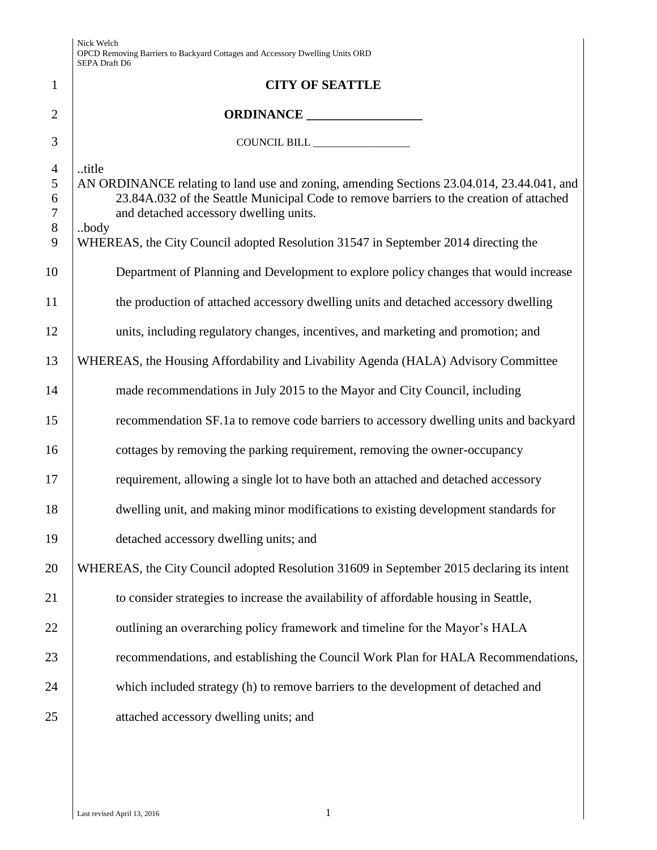|                                             | Nick Welch<br>OPCD Removing Barriers to Backyard Cottages and Accessory Dwelling Units ORD<br>SEPA Draft D6                                                                                                                                                                                                                            |
|---------------------------------------------|----------------------------------------------------------------------------------------------------------------------------------------------------------------------------------------------------------------------------------------------------------------------------------------------------------------------------------------|
| $\mathbf{1}$                                | <b>CITY OF SEATTLE</b>                                                                                                                                                                                                                                                                                                                 |
| $\overline{2}$                              | ORDINANCE                                                                                                                                                                                                                                                                                                                              |
| 3                                           |                                                                                                                                                                                                                                                                                                                                        |
| $\overline{4}$<br>5<br>6<br>7<br>$8\,$<br>9 | title<br>AN ORDINANCE relating to land use and zoning, amending Sections 23.04.014, 23.44.041, and<br>23.84A.032 of the Seattle Municipal Code to remove barriers to the creation of attached<br>and detached accessory dwelling units.<br>.body<br>WHEREAS, the City Council adopted Resolution 31547 in September 2014 directing the |
| 10                                          | Department of Planning and Development to explore policy changes that would increase                                                                                                                                                                                                                                                   |
| 11                                          | the production of attached accessory dwelling units and detached accessory dwelling                                                                                                                                                                                                                                                    |
| 12                                          | units, including regulatory changes, incentives, and marketing and promotion; and                                                                                                                                                                                                                                                      |
| 13                                          | WHEREAS, the Housing Affordability and Livability Agenda (HALA) Advisory Committee                                                                                                                                                                                                                                                     |
| 14                                          | made recommendations in July 2015 to the Mayor and City Council, including                                                                                                                                                                                                                                                             |
| 15                                          | recommendation SF.1a to remove code barriers to accessory dwelling units and backyard                                                                                                                                                                                                                                                  |
| 16                                          | cottages by removing the parking requirement, removing the owner-occupancy                                                                                                                                                                                                                                                             |
| 17                                          | requirement, allowing a single lot to have both an attached and detached accessory                                                                                                                                                                                                                                                     |
| 18                                          | dwelling unit, and making minor modifications to existing development standards for                                                                                                                                                                                                                                                    |
| 19                                          | detached accessory dwelling units; and                                                                                                                                                                                                                                                                                                 |
| 20                                          | WHEREAS, the City Council adopted Resolution 31609 in September 2015 declaring its intent                                                                                                                                                                                                                                              |
| 21                                          | to consider strategies to increase the availability of affordable housing in Seattle,                                                                                                                                                                                                                                                  |
| 22                                          | outlining an overarching policy framework and timeline for the Mayor's HALA                                                                                                                                                                                                                                                            |
| 23                                          | recommendations, and establishing the Council Work Plan for HALA Recommendations,                                                                                                                                                                                                                                                      |
| 24                                          | which included strategy (h) to remove barriers to the development of detached and                                                                                                                                                                                                                                                      |
| 25                                          | attached accessory dwelling units; and                                                                                                                                                                                                                                                                                                 |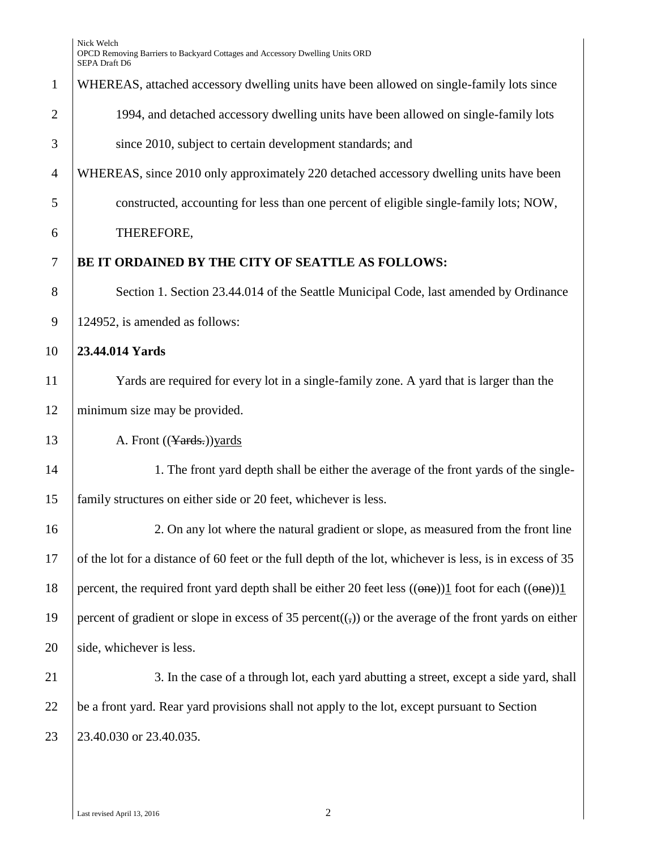# 1 WHEREAS, attached accessory dwelling units have been allowed on single-family lots since 2 1994, and detached accessory dwelling units have been allowed on single-family lots

3 since 2010, subject to certain development standards; and

4 WHEREAS, since 2010 only approximately 220 detached accessory dwelling units have been 5 constructed, accounting for less than one percent of eligible single-family lots; NOW,

# 6 THEREFORE,

# 7 **BE IT ORDAINED BY THE CITY OF SEATTLE AS FOLLOWS:**

8 Section 1. Section 23.44.014 of the Seattle Municipal Code, last amended by Ordinance 9 124952, is amended as follows:

#### 10 **23.44.014 Yards**

11 Yards are required for every lot in a single-family zone. A yard that is larger than the 12 minimum size may be provided.

13 A. Front ((Yards.)) yards

14 1. The front yard depth shall be either the average of the front yards of the single-15 family structures on either side or 20 feet, whichever is less.

16 2. On any lot where the natural gradient or slope, as measured from the front line 17 of the lot for a distance of 60 feet or the full depth of the lot, whichever is less, is in excess of 35 18 percent, the required front yard depth shall be either 20 feet less  $((\theta n \theta))1$  foot for each  $((\theta n \theta))1$ 19 percent of gradient or slope in excess of 35 percent( $\left(\frac{1}{2}\right)$ ) or the average of the front yards on either  $20$  side, whichever is less.

21 3. In the case of a through lot, each yard abutting a street, except a side yard, shall 22 be a front yard. Rear yard provisions shall not apply to the lot, except pursuant to Section 23 23.40.030 or 23.40.035.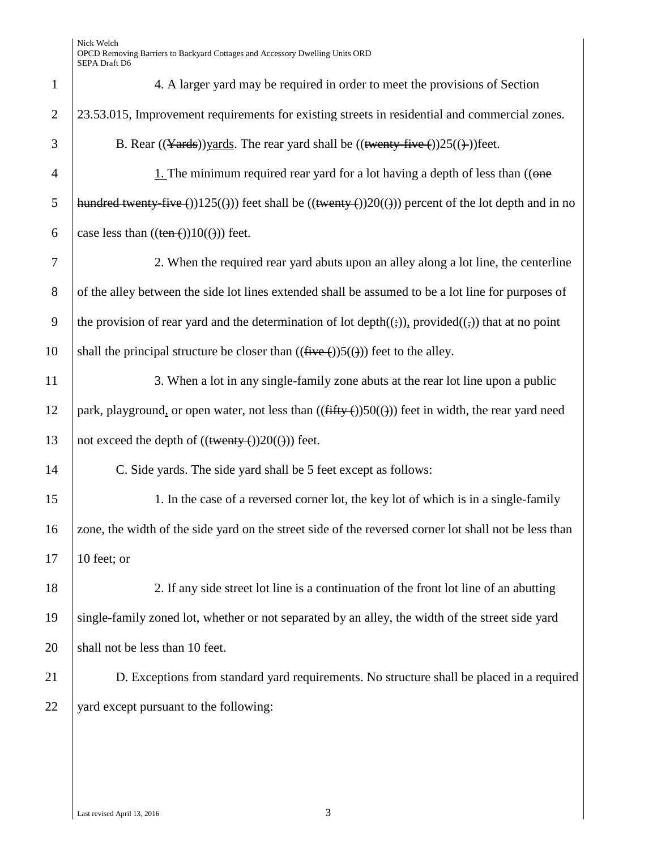| $\mathbf{1}$   | 4. A larger yard may be required in order to meet the provisions of Section                                       |
|----------------|-------------------------------------------------------------------------------------------------------------------|
| $\overline{2}$ | 23.53.015, Improvement requirements for existing streets in residential and commercial zones.                     |
| 3              | B. Rear $((Yards))$ yards. The rear yard shall be $((\text{twenty-five}())25((\text{+}))$ feet.                   |
| $\overline{4}$ | 1. The minimum required rear yard for a lot having a depth of less than $((\theta \theta)^2)^T$                   |
| 5              | hundred twenty five ())125(())) feet shall be ((twenty ())20(())) percent of the lot depth and in no              |
| 6              | case less than $((ten-))10(())$ feet.                                                                             |
| 7              | 2. When the required rear yard abuts upon an alley along a lot line, the centerline                               |
| 8              | of the alley between the side lot lines extended shall be assumed to be a lot line for purposes of                |
| 9              | the provision of rear yard and the determination of lot depth $((\cdot))$ , provided $((\cdot))$ that at no point |
| 10             | shall the principal structure be closer than $((\text{five} (+))5(())$ feet to the alley.                         |
| 11             | 3. When a lot in any single-family zone abuts at the rear lot line upon a public                                  |
| 12             | park, playground, or open water, not less than $((\text{fiffy-}))50(())$ feet in width, the rear yard need        |
| 13             | not exceed the depth of $((\text{twenty} ())20(())$ feet.                                                         |
| 14             | C. Side yards. The side yard shall be 5 feet except as follows:                                                   |
| 15             | 1. In the case of a reversed corner lot, the key lot of which is in a single-family                               |
| 16             | zone, the width of the side yard on the street side of the reversed corner lot shall not be less than             |
| 17             | 10 feet; or                                                                                                       |
| 18             | 2. If any side street lot line is a continuation of the front lot line of an abutting                             |
| 19             | single-family zoned lot, whether or not separated by an alley, the width of the street side yard                  |
| 20             | shall not be less than 10 feet.                                                                                   |
| 21             | D. Exceptions from standard yard requirements. No structure shall be placed in a required                         |
| 22             | yard except pursuant to the following:                                                                            |
|                |                                                                                                                   |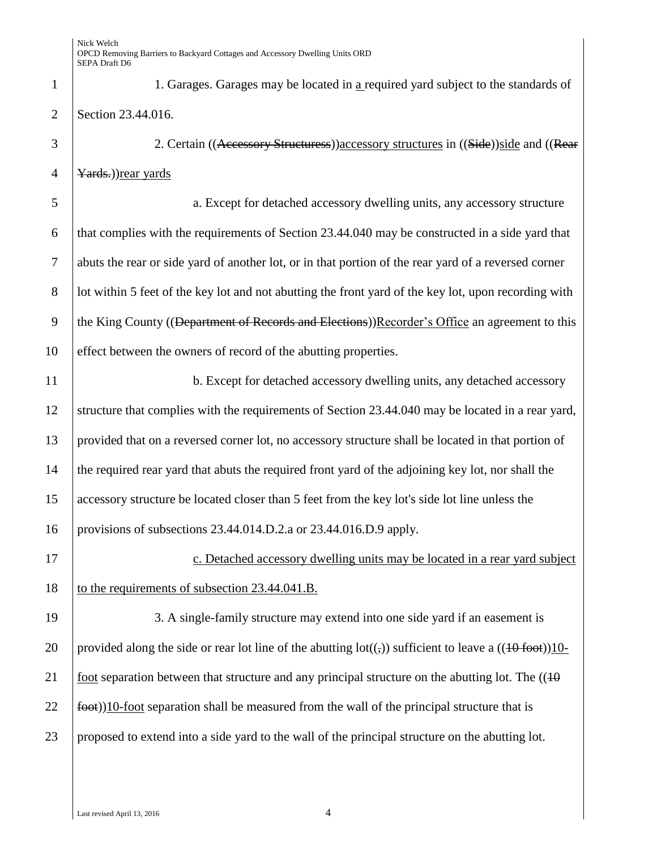1 1. Garages. Garages may be located in a required yard subject to the standards of 2 Section 23.44.016. 3 2. Certain ((Accessory Structuress)) accessory structures in ((Side)) side and ((Rear 4 |  $\frac{Yards.}{Yards.}$ 5 a. Except for detached accessory dwelling units, any accessory structure 6 that complies with the requirements of Section  $23.44.040$  may be constructed in a side yard that 7 abuts the rear or side yard of another lot, or in that portion of the rear yard of a reversed corner 8 lot within 5 feet of the key lot and not abutting the front yard of the key lot, upon recording with

9 the King County ((Department of Records and Elections))Recorder's Office an agreement to this 10 effect between the owners of record of the abutting properties.

11 b. Except for detached accessory dwelling units, any detached accessory structure that complies with the requirements of Section 23.44.040 may be located in a rear yard, provided that on a reversed corner lot, no accessory structure shall be located in that portion of the required rear yard that abuts the required front yard of the adjoining key lot, nor shall the accessory structure be located closer than 5 feet from the key lot's side lot line unless the provisions of subsections 23.44.014.D.2.a or 23.44.016.D.9 apply.

17 **c.** Detached accessory dwelling units may be located in a rear yard subject 18 to the requirements of subsection 23.44.041.B.

19 3. A single-family structure may extend into one side yard if an easement is 20 provided along the side or rear lot line of the abutting  $\text{lot}((\tau))$  sufficient to leave a  $((10 \text{ foot}))10$ -21 foot separation between that structure and any principal structure on the abutting lot. The  $((10$  $22 \left| \frac{1}{100} \right|$  foot separation shall be measured from the wall of the principal structure that is 23 proposed to extend into a side yard to the wall of the principal structure on the abutting lot.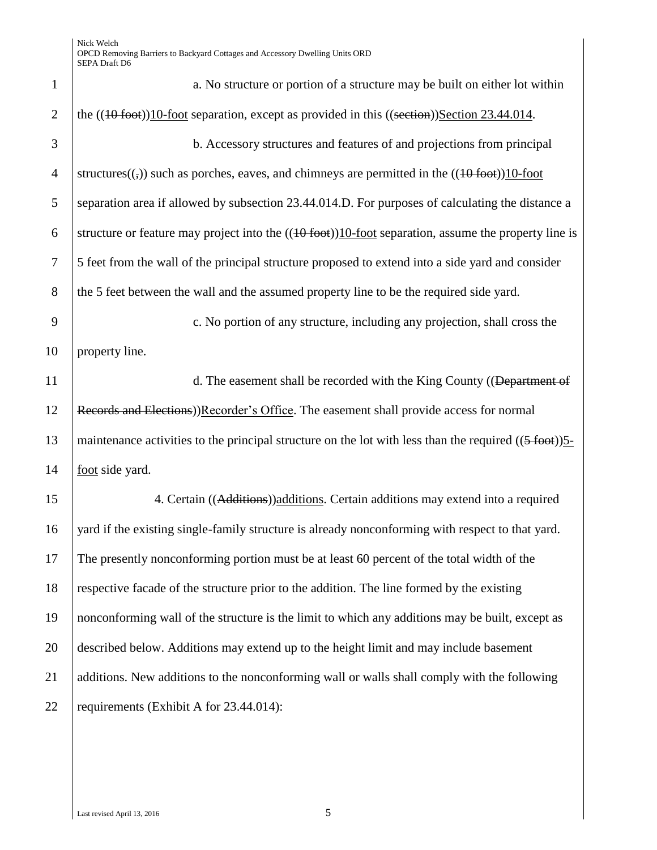| $\mathbf{1}$   | a. No structure or portion of a structure may be built on either lot within                                                 |
|----------------|-----------------------------------------------------------------------------------------------------------------------------|
| $\overline{2}$ | the $((40$ foot)) $10$ -foot separation, except as provided in this $((section))$ Section 23.44.014.                        |
| 3              | b. Accessory structures and features of and projections from principal                                                      |
| $\overline{4}$ | structures( $(\cdot, \cdot)$ ) such as porches, eaves, and chimneys are permitted in the $((10\text{ foot}))10\text{-foot}$ |
| 5              | separation area if allowed by subsection 23.44.014.D. For purposes of calculating the distance a                            |
| 6              | structure or feature may project into the $((40 \text{ foot}))10\text{-foot}$ separation, assume the property line is       |
| $\tau$         | 5 feet from the wall of the principal structure proposed to extend into a side yard and consider                            |
| 8              | the 5 feet between the wall and the assumed property line to be the required side yard.                                     |
| 9              | c. No portion of any structure, including any projection, shall cross the                                                   |
| 10             | property line.                                                                                                              |
| 11             | d. The easement shall be recorded with the King County ((Department of                                                      |
| 12             | Records and Elections))Recorder's Office. The easement shall provide access for normal                                      |
| 13             | maintenance activities to the principal structure on the lot with less than the required $((5 \text{ foot}))$               |
| 14             | foot side yard.                                                                                                             |
| 15             | 4. Certain ((Additions)) additions. Certain additions may extend into a required                                            |
| 16             | yard if the existing single-family structure is already nonconforming with respect to that yard.                            |
| 17             | The presently nonconforming portion must be at least 60 percent of the total width of the                                   |
| 18             | respective facade of the structure prior to the addition. The line formed by the existing                                   |
| 19             | nonconforming wall of the structure is the limit to which any additions may be built, except as                             |
| 20             | described below. Additions may extend up to the height limit and may include basement                                       |
| 21             | additions. New additions to the nonconforming wall or walls shall comply with the following                                 |
| 22             | requirements (Exhibit A for 23.44.014):                                                                                     |
|                |                                                                                                                             |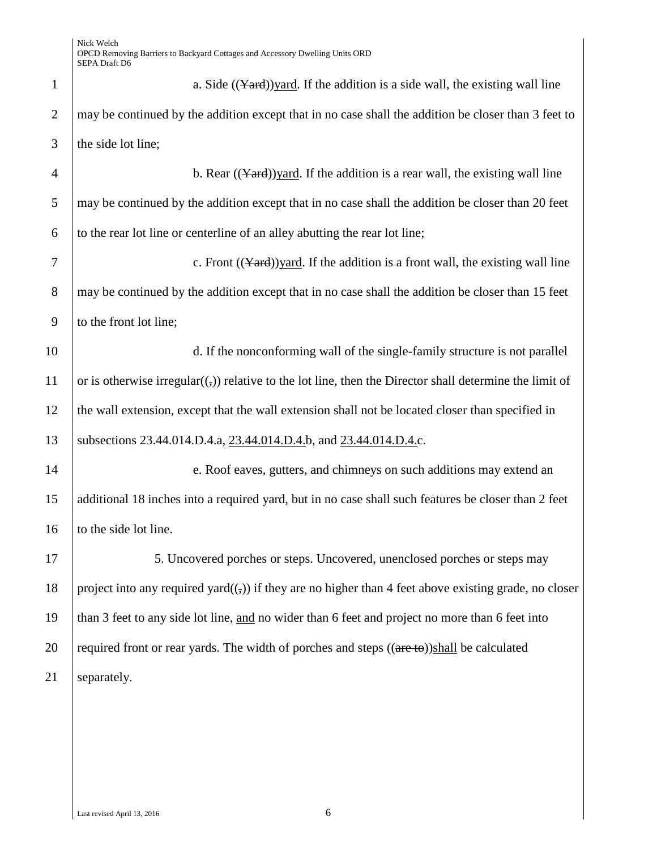| $\mathbf{1}$   | a. Side $((\text{Yard}))\text{yard}$ . If the addition is a side wall, the existing wall line              |
|----------------|------------------------------------------------------------------------------------------------------------|
| $\overline{2}$ | may be continued by the addition except that in no case shall the addition be closer than 3 feet to        |
| 3              | the side lot line;                                                                                         |
| $\overline{4}$ | b. Rear $((\text{Yard}))$ yard. If the addition is a rear wall, the existing wall line                     |
| 5              | may be continued by the addition except that in no case shall the addition be closer than 20 feet          |
| 6              | to the rear lot line or centerline of an alley abutting the rear lot line;                                 |
| 7              | c. Front $((\text{Yard}))$ yard. If the addition is a front wall, the existing wall line                   |
| 8              | may be continued by the addition except that in no case shall the addition be closer than 15 feet          |
| 9              | to the front lot line;                                                                                     |
| 10             | d. If the nonconforming wall of the single-family structure is not parallel                                |
| 11             | or is otherwise irregular $((,))$ relative to the lot line, then the Director shall determine the limit of |
| 12             | the wall extension, except that the wall extension shall not be located closer than specified in           |
| 13             | subsections 23.44.014.D.4.a, 23.44.014.D.4.b, and 23.44.014.D.4.c.                                         |
| 14             | e. Roof eaves, gutters, and chimneys on such additions may extend an                                       |
| 15             | additional 18 inches into a required yard, but in no case shall such features be closer than 2 feet        |
| 16             | to the side lot line.                                                                                      |
| 17             | 5. Uncovered porches or steps. Uncovered, unenclosed porches or steps may                                  |
| 18             | project into any required yard $((,))$ if they are no higher than 4 feet above existing grade, no closer   |
| 19             | than 3 feet to any side lot line, and no wider than 6 feet and project no more than 6 feet into            |
| 20             | required front or rear yards. The width of porches and steps ((are to))shall be calculated                 |
| 21             | separately.                                                                                                |
|                |                                                                                                            |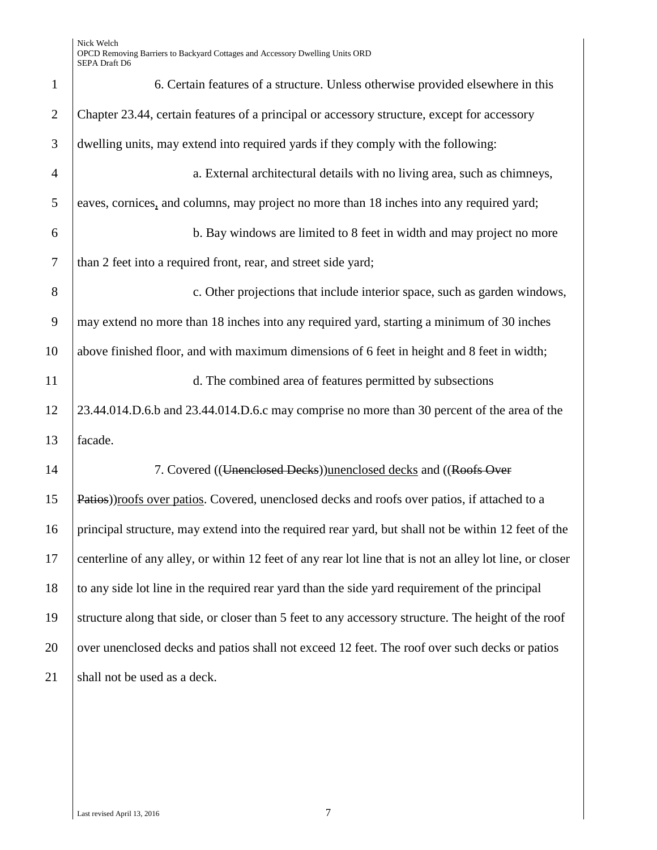| $\mathbf{1}$   | 6. Certain features of a structure. Unless otherwise provided elsewhere in this                          |
|----------------|----------------------------------------------------------------------------------------------------------|
| $\overline{2}$ | Chapter 23.44, certain features of a principal or accessory structure, except for accessory              |
| 3              | dwelling units, may extend into required yards if they comply with the following:                        |
| $\overline{4}$ | a. External architectural details with no living area, such as chimneys,                                 |
| 5              | eaves, cornices, and columns, may project no more than 18 inches into any required yard;                 |
| 6              | b. Bay windows are limited to 8 feet in width and may project no more                                    |
| $\tau$         | than 2 feet into a required front, rear, and street side yard;                                           |
| 8              | c. Other projections that include interior space, such as garden windows,                                |
| 9              | may extend no more than 18 inches into any required yard, starting a minimum of 30 inches                |
| 10             | above finished floor, and with maximum dimensions of 6 feet in height and 8 feet in width;               |
| 11             | d. The combined area of features permitted by subsections                                                |
| 12             | 23.44.014.D.6.b and 23.44.014.D.6.c may comprise no more than 30 percent of the area of the              |
| 13             | facade.                                                                                                  |
| 14             | 7. Covered ((Unenclosed Decks)) unenclosed decks and ((Roofs Over                                        |
| 15             | Patios)) roofs over patios. Covered, unenclosed decks and roofs over patios, if attached to a            |
| 16             | principal structure, may extend into the required rear yard, but shall not be within 12 feet of the      |
| 17             | centerline of any alley, or within 12 feet of any rear lot line that is not an alley lot line, or closer |
| 18             | to any side lot line in the required rear yard than the side yard requirement of the principal           |
| 19             | structure along that side, or closer than 5 feet to any accessory structure. The height of the roof      |
| 20             | over unenclosed decks and patios shall not exceed 12 feet. The roof over such decks or patios            |
| 21             | shall not be used as a deck.                                                                             |
|                |                                                                                                          |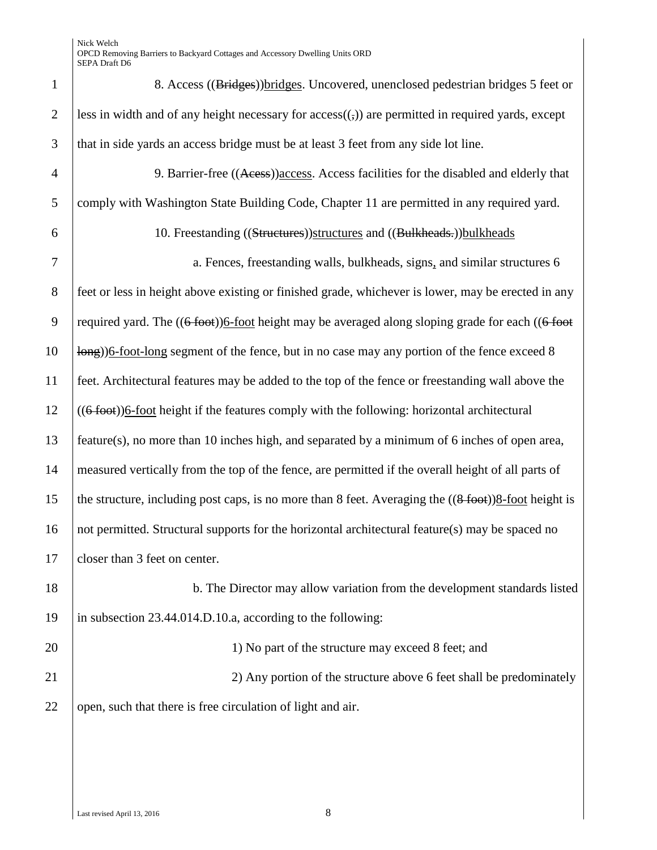| $\mathbf{1}$   | 8. Access ((Bridges)) bridges. Uncovered, unenclosed pedestrian bridges 5 feet or                                     |
|----------------|-----------------------------------------------------------------------------------------------------------------------|
| $\mathbf{2}$   | less in width and of any height necessary for $access((,))$ are permitted in required yards, except                   |
| 3              | that in side yards an access bridge must be at least 3 feet from any side lot line.                                   |
| $\overline{4}$ | 9. Barrier-free ((Acess)) access. Access facilities for the disabled and elderly that                                 |
| 5              | comply with Washington State Building Code, Chapter 11 are permitted in any required yard.                            |
| 6              | 10. Freestanding ((Structures)) structures and ((Bulkheads-)) bulkheads                                               |
| $\tau$         | a. Fences, freestanding walls, bulkheads, signs, and similar structures 6                                             |
| $8\,$          | feet or less in height above existing or finished grade, whichever is lower, may be erected in any                    |
| 9              | required yard. The $((6 + 6o)t)$ 6-foot height may be averaged along sloping grade for each $((6 + 6o)t)$             |
| 10             | long) 6-foot-long segment of the fence, but in no case may any portion of the fence exceed 8                          |
| 11             | feet. Architectural features may be added to the top of the fence or freestanding wall above the                      |
| 12             | $((6 + 6o)t)$ 6-foot height if the features comply with the following: horizontal architectural                       |
| 13             | feature(s), no more than 10 inches high, and separated by a minimum of 6 inches of open area,                         |
| 14             | measured vertically from the top of the fence, are permitted if the overall height of all parts of                    |
| 15             | the structure, including post caps, is no more than 8 feet. Averaging the $((8 \text{ foot}))8\text{-foot height}$ is |
| 16             | not permitted. Structural supports for the horizontal architectural feature(s) may be spaced no                       |
| 17             | closer than 3 feet on center.                                                                                         |
| 18             | b. The Director may allow variation from the development standards listed                                             |
| 19             | in subsection 23.44.014.D.10.a, according to the following:                                                           |
| 20             | 1) No part of the structure may exceed 8 feet; and                                                                    |
| 21             | 2) Any portion of the structure above 6 feet shall be predominately                                                   |
| 22             | open, such that there is free circulation of light and air.                                                           |
|                |                                                                                                                       |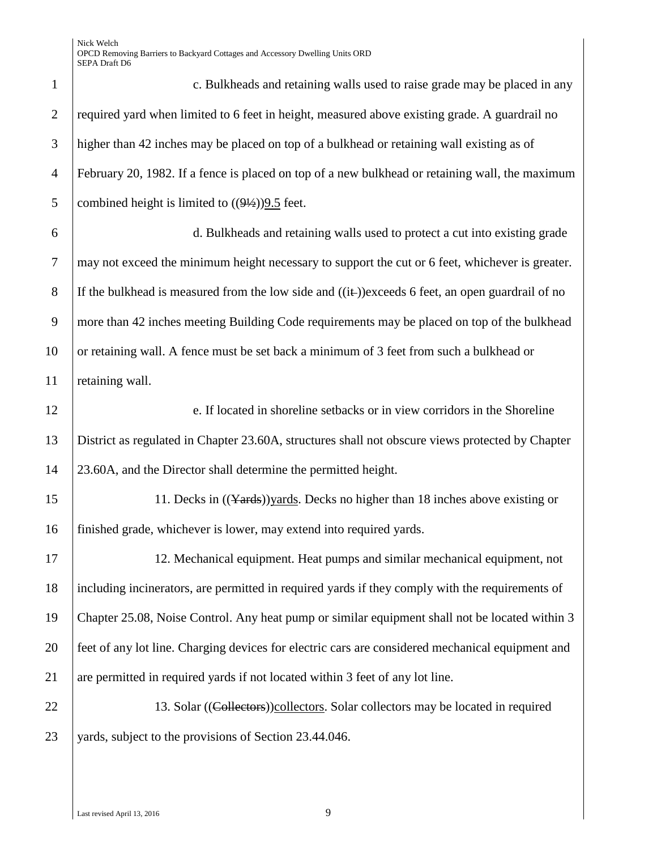| $\mathbf{1}$   | c. Bulkheads and retaining walls used to raise grade may be placed in any                          |
|----------------|----------------------------------------------------------------------------------------------------|
| $\overline{2}$ | required yard when limited to 6 feet in height, measured above existing grade. A guardrail no      |
| 3              | higher than 42 inches may be placed on top of a bulkhead or retaining wall existing as of          |
| $\overline{4}$ | February 20, 1982. If a fence is placed on top of a new bulkhead or retaining wall, the maximum    |
| 5              | combined height is limited to $((9\frac{1}{2}))$ . feet.                                           |
| 6              | d. Bulkheads and retaining walls used to protect a cut into existing grade                         |
| $\overline{7}$ | may not exceed the minimum height necessary to support the cut or 6 feet, whichever is greater.    |
| 8              | If the bulkhead is measured from the low side and $((i+))$ exceeds 6 feet, an open guardrail of no |
| 9              | more than 42 inches meeting Building Code requirements may be placed on top of the bulkhead        |
| 10             | or retaining wall. A fence must be set back a minimum of 3 feet from such a bulkhead or            |
| 11             | retaining wall.                                                                                    |
| 12             | e. If located in shoreline setbacks or in view corridors in the Shoreline                          |
| 13             | District as regulated in Chapter 23.60A, structures shall not obscure views protected by Chapter   |
| 14             | 23.60A, and the Director shall determine the permitted height.                                     |
| 15             | 11. Decks in ((Yards)) yards. Decks no higher than 18 inches above existing or                     |
| 16             | finished grade, whichever is lower, may extend into required yards.                                |
| 17             | 12. Mechanical equipment. Heat pumps and similar mechanical equipment, not                         |
| 18             | including incinerators, are permitted in required yards if they comply with the requirements of    |
| 19             | Chapter 25.08, Noise Control. Any heat pump or similar equipment shall not be located within 3     |
| 20             | feet of any lot line. Charging devices for electric cars are considered mechanical equipment and   |
| 21             | are permitted in required yards if not located within 3 feet of any lot line.                      |
| 22             | 13. Solar ((Collectors)) collectors. Solar collectors may be located in required                   |
| 23             | yards, subject to the provisions of Section 23.44.046.                                             |
|                |                                                                                                    |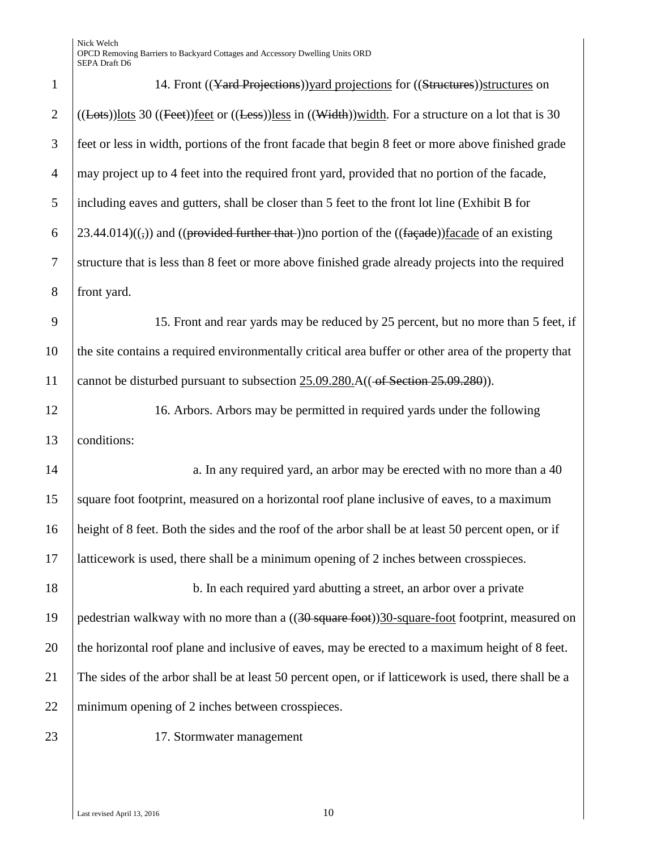| $\mathbf{1}$   | 14. Front ((Yard Projections)) yard projections for ((Structures)) structures on                                                            |
|----------------|---------------------------------------------------------------------------------------------------------------------------------------------|
| $\overline{2}$ | $((\text{Lots}))$ lots 30 $((\text{Feet}))$ feet or $((\text{Less}))$ less in $((\text{Width}))$ width. For a structure on a lot that is 30 |
| 3              | feet or less in width, portions of the front facade that begin 8 feet or more above finished grade                                          |
| $\overline{4}$ | may project up to 4 feet into the required front yard, provided that no portion of the facade,                                              |
| 5              | including eaves and gutters, shall be closer than 5 feet to the front lot line (Exhibit B for                                               |
| 6              | $23.44.014$ )((,)) and ((provided further that-))no portion of the ((façade))facade of an existing                                          |
| $\overline{7}$ | structure that is less than 8 feet or more above finished grade already projects into the required                                          |
| 8              | front yard.                                                                                                                                 |
| 9              | 15. Front and rear yards may be reduced by 25 percent, but no more than 5 feet, if                                                          |
| 10             | the site contains a required environmentally critical area buffer or other area of the property that                                        |
| 11             | cannot be disturbed pursuant to subsection $25.09.280$ . A(( $\rightarrow$ Section 25.09.280)).                                             |
| 12             | 16. Arbors. Arbors may be permitted in required yards under the following                                                                   |
| 13             | conditions:                                                                                                                                 |
| 14             | a. In any required yard, an arbor may be erected with no more than a 40                                                                     |
| 15             | square foot footprint, measured on a horizontal roof plane inclusive of eaves, to a maximum                                                 |
| 16             | height of 8 feet. Both the sides and the roof of the arbor shall be at least 50 percent open, or if                                         |
| 17             | latticework is used, there shall be a minimum opening of 2 inches between crosspieces.                                                      |
| 18             | b. In each required yard abutting a street, an arbor over a private                                                                         |
| 19             | pedestrian walkway with no more than a ((30 square foot))30-square-foot footprint, measured on                                              |
| 20             | the horizontal roof plane and inclusive of eaves, may be erected to a maximum height of 8 feet.                                             |
| 21             | The sides of the arbor shall be at least 50 percent open, or if latticework is used, there shall be a                                       |
| 22             | minimum opening of 2 inches between crosspieces.                                                                                            |
| 23             | 17. Stormwater management                                                                                                                   |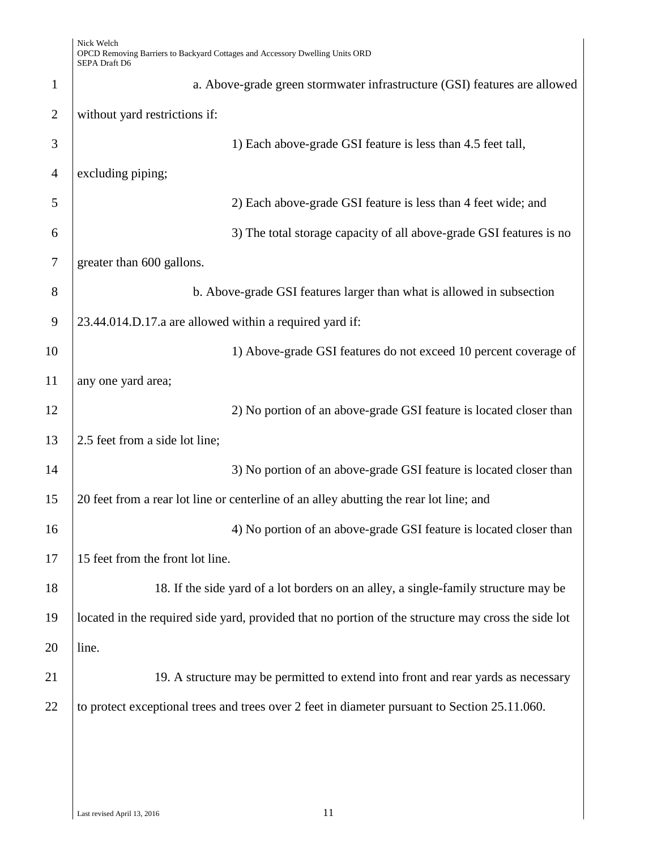| $\mathbf{1}$   | a. Above-grade green stormwater infrastructure (GSI) features are allowed                           |
|----------------|-----------------------------------------------------------------------------------------------------|
| $\overline{2}$ | without yard restrictions if:                                                                       |
| 3              | 1) Each above-grade GSI feature is less than 4.5 feet tall,                                         |
| $\overline{4}$ | excluding piping;                                                                                   |
| 5              | 2) Each above-grade GSI feature is less than 4 feet wide; and                                       |
| 6              | 3) The total storage capacity of all above-grade GSI features is no                                 |
| 7              | greater than 600 gallons.                                                                           |
| 8              | b. Above-grade GSI features larger than what is allowed in subsection                               |
| 9              | 23.44.014.D.17.a are allowed within a required yard if:                                             |
| 10             | 1) Above-grade GSI features do not exceed 10 percent coverage of                                    |
| 11             | any one yard area;                                                                                  |
| 12             | 2) No portion of an above-grade GSI feature is located closer than                                  |
| 13             | 2.5 feet from a side lot line;                                                                      |
| 14             | 3) No portion of an above-grade GSI feature is located closer than                                  |
| 15             | 20 feet from a rear lot line or centerline of an alley abutting the rear lot line; and              |
| 16             | 4) No portion of an above-grade GSI feature is located closer than                                  |
| 17             | 15 feet from the front lot line.                                                                    |
| 18             | 18. If the side yard of a lot borders on an alley, a single-family structure may be                 |
| 19             | located in the required side yard, provided that no portion of the structure may cross the side lot |
| 20             | line.                                                                                               |
| 21             | 19. A structure may be permitted to extend into front and rear yards as necessary                   |
| 22             | to protect exceptional trees and trees over 2 feet in diameter pursuant to Section 25.11.060.       |
|                |                                                                                                     |
|                |                                                                                                     |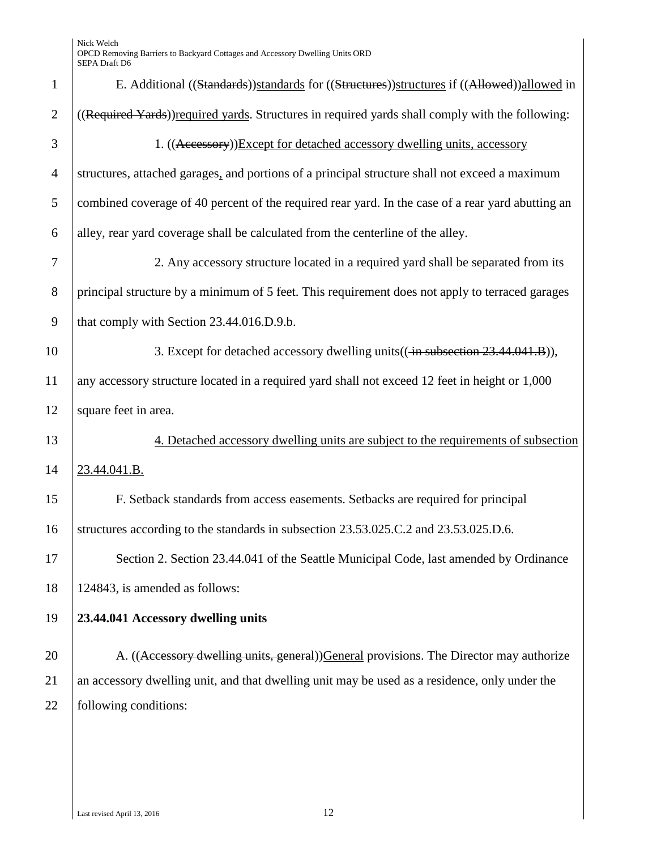| $\mathbf{1}$   | E. Additional ((Standards))standards for ((Structures))structures if ((Allowed))allowed in        |
|----------------|---------------------------------------------------------------------------------------------------|
| $\overline{2}$ | ((Required Yards)) required yards. Structures in required yards shall comply with the following:  |
| 3              | 1. ((Accessory))Except for detached accessory dwelling units, accessory                           |
| $\overline{4}$ | structures, attached garages, and portions of a principal structure shall not exceed a maximum    |
| 5              | combined coverage of 40 percent of the required rear yard. In the case of a rear yard abutting an |
| 6              | alley, rear yard coverage shall be calculated from the centerline of the alley.                   |
| 7              | 2. Any accessory structure located in a required yard shall be separated from its                 |
| 8              | principal structure by a minimum of 5 feet. This requirement does not apply to terraced garages   |
| 9              | that comply with Section 23.44.016.D.9.b.                                                         |
| 10             | 3. Except for detached accessory dwelling units (( $\frac{1}{2}$ aubsection 23.44.041.B)),        |
| 11             | any accessory structure located in a required yard shall not exceed 12 feet in height or 1,000    |
| 12             | square feet in area.                                                                              |
| 13             | 4. Detached accessory dwelling units are subject to the requirements of subsection                |
| 14             | 23.44.041.B.                                                                                      |
| 15             | F. Setback standards from access easements. Setbacks are required for principal                   |
| 16             | structures according to the standards in subsection 23.53.025.C.2 and 23.53.025.D.6.              |
| 17             | Section 2. Section 23.44.041 of the Seattle Municipal Code, last amended by Ordinance             |
| 18             | 124843, is amended as follows:                                                                    |
| 19             | 23.44.041 Accessory dwelling units                                                                |
| 20             | A. ((Accessory dwelling units, general)) General provisions. The Director may authorize           |
|                |                                                                                                   |
| 21             | an accessory dwelling unit, and that dwelling unit may be used as a residence, only under the     |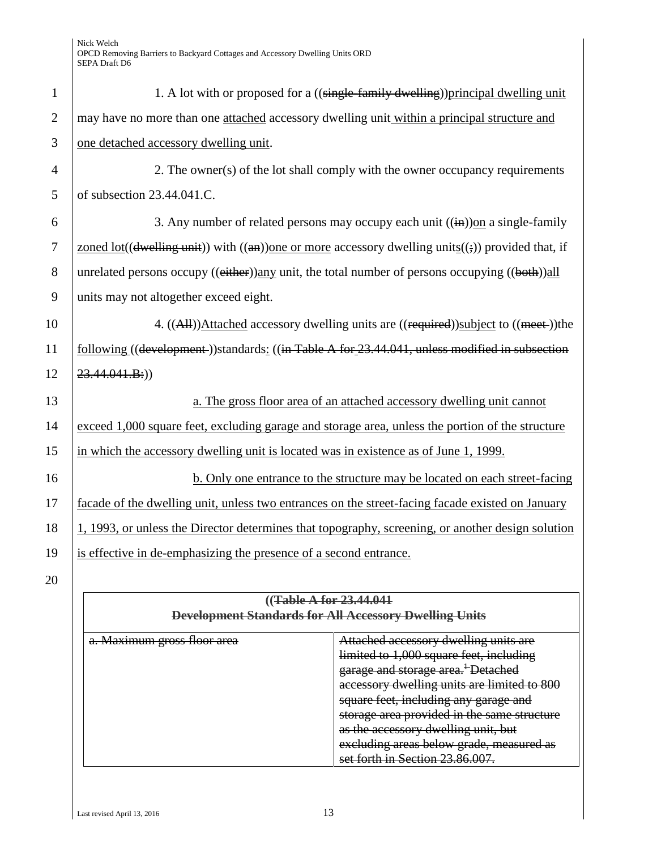| $\mathbf{1}$   | 1. A lot with or proposed for a ((single-family dwelling)) principal dwelling unit                 |
|----------------|----------------------------------------------------------------------------------------------------|
| $\overline{2}$ | may have no more than one attached accessory dwelling unit within a principal structure and        |
| $\overline{3}$ | one detached accessory dwelling unit.                                                              |
| $\overline{4}$ | 2. The owner(s) of the lot shall comply with the owner occupancy requirements                      |
| 5              | of subsection 23.44.041.C.                                                                         |
| 6              | 3. Any number of related persons may occupy each unit $((\mathbf{in})$ ) on a single-family        |
| $\overline{7}$ | zoned lot((dwelling unit)) with ((an)) one or more accessory dwelling units((;)) provided that, if |
| 8              | unrelated persons occupy ((either))any unit, the total number of persons occupying ((both))all     |
| 9              | units may not altogether exceed eight.                                                             |
| 10             | 4. ((All))Attached accessory dwelling units are ((required))subject to ((meet-))the                |
| 11             | following ((development))standards: ((in Table A for 23.44.041, unless modified in subsection      |
| 12             | $23.44.041.B:$ )                                                                                   |
| 13             | a. The gross floor area of an attached accessory dwelling unit cannot                              |
| 14             | exceed 1,000 square feet, excluding garage and storage area, unless the portion of the structure   |
| 15             | in which the accessory dwelling unit is located was in existence as of June 1, 1999.               |
| 16             | b. Only one entrance to the structure may be located on each street-facing                         |
| 17             | facade of the dwelling unit, unless two entrances on the street-facing facade existed on January   |
| 18             | 1, 1993, or unless the Director determines that topography, screening, or another design solution  |
| 19             | is effective in de-emphasizing the presence of a second entrance.                                  |
| 20             |                                                                                                    |
|                | ((Table A for 23,44,041)                                                                           |
|                | Dovelopment Standards for All Accessory Dwelling Units                                             |

| <u>Attached accessory dwelling units are</u><br><del>Attached accessory uwening units are</del>                     |
|---------------------------------------------------------------------------------------------------------------------|
| $\lim$ it at a $\lim_{\Omega}$ of $\Omega$ cause feet including<br><del>nimed to 1,000 square reet, including</del> |
| garage and storage area. <sup>+</sup> Detached                                                                      |
| accessory dwelling units are limited to 800<br>accessory awening units are minicu to over                           |
| square feet, including any garage and                                                                               |
| storage area provided in the same structure                                                                         |
| as the accessory dwelling unit but<br>as the accessory trivening unit, but                                          |
| <u>aveludino areas helow orade, measured as</u><br><del>exciuuing areas below graue, incasured as</del>             |
| eat forth in Rection 23.86.007<br><del>əct itmli</del>                                                              |
|                                                                                                                     |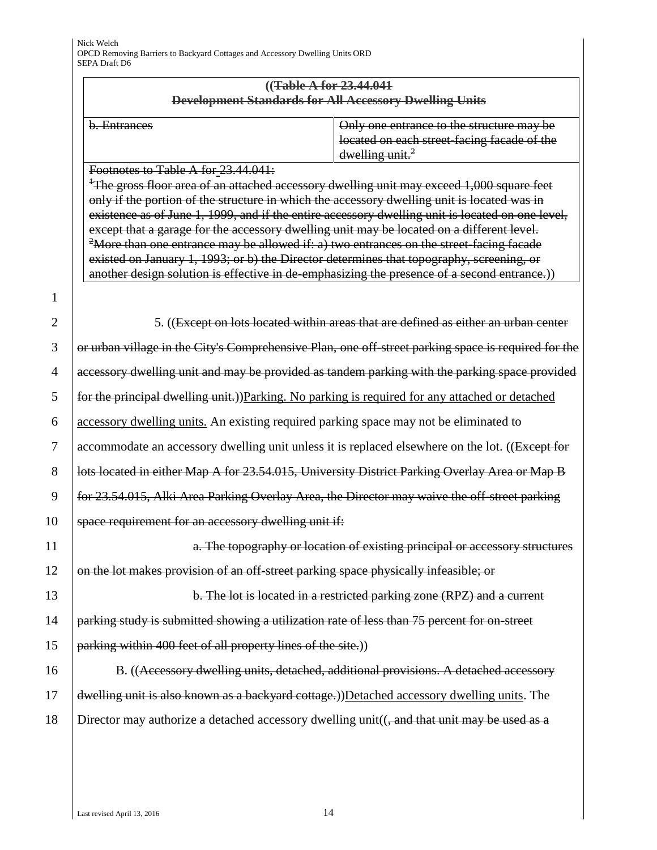#### **((Table A for 23.44.041 Development Standards for All Accessory Dwelling Units**

| h Entrances                      |
|----------------------------------|
| $\sigma$ . $\sigma$ and $\sigma$ |

Only one entrance to the structure may be located on each street-facing facade of the  $d$ welling unit. $^2$ 

Footnotes to Table A for 23.44.041:

<sup>1</sup>The gross floor area of an attached accessory dwelling unit may exceed 1,000 square feet only if the portion of the structure in which the accessory dwelling unit is located was in existence as of June 1, 1999, and if the entire accessory dwelling unit is located on one level, except that a garage for the accessory dwelling unit may be located on a different level. <sup>2</sup>More than one entrance may be allowed if: a) two entrances on the street-facing facade existed on January 1, 1993; or b) the Director determines that topography, screening, or another design solution is effective in de-emphasizing the presence of a second entrance.))

1

2 | 5. ((Except on lots located within areas that are defined as either an urban center

3 or urban village in the City's Comprehensive Plan, one off-street parking space is required for the accessory dwelling unit and may be provided as tandem parking with the parking space provided  $\frac{5}{100}$  for the principal dwelling unit.))Parking. No parking is required for any attached or detached accessory dwelling units. An existing required parking space may not be eliminated to 7 accommodate an accessory dwelling unit unless it is replaced elsewhere on the lot. ((Except for **lots located in either Map A for 23.54.015, University District Parking Overlay Area or Map B**  $\int$  for 23.54.015, Alki Area Parking Overlay Area, the Director may waive the off-street parking **space requirement for an accessory dwelling unit if:** 

11 **1 a. The topography or location of existing principal or accessory structures** 12 on the lot makes provision of an off-street parking space physically infeasible; or

13 **b.** The lot is located in a restricted parking zone (RPZ) and a current  $14$  parking study is submitted showing a utilization rate of less than 75 percent for on-street 15 | parking within 400 feet of all property lines of the site.)

16 B. ((Accessory dwelling units, detached, additional provisions. A detached accessory 17 dwelling unit is also known as a backyard cottage.))Detached accessory dwelling units. The 18 Director may authorize a detached accessory dwelling unit( $($ , and that unit may be used as a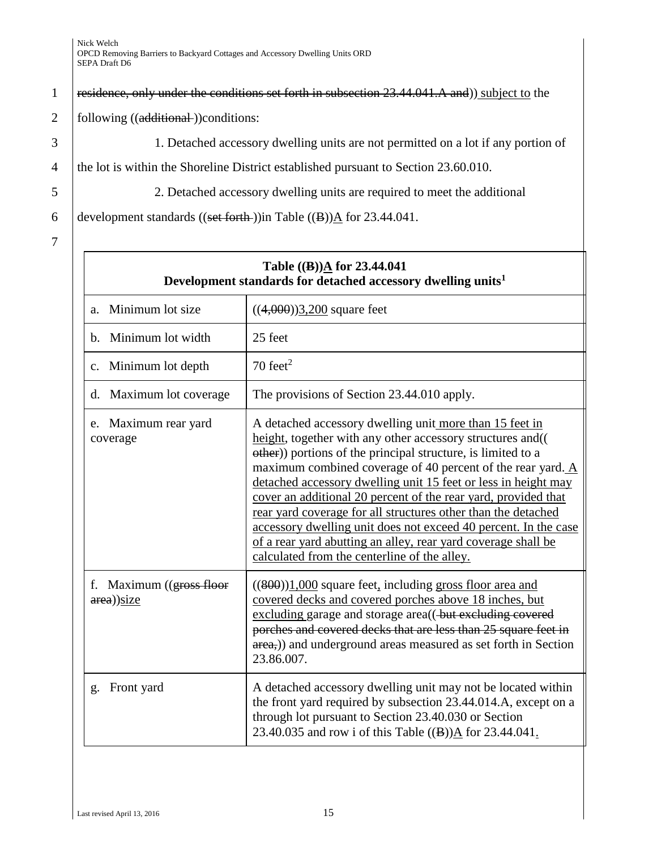#### 1 | residence, only under the conditions set forth in subsection 23.44.041.A and)) subject to the

#### 2  $\vert$  following  $((additional-))$ conditions:

3 1. Detached accessory dwelling units are not permitted on a lot if any portion of

4 the lot is within the Shoreline District established pursuant to Section 23.60.010.

5 2. Detached accessory dwelling units are required to meet the additional

6 development standards ((set forth )) in Table ((B)) $\Delta$  for 23.44.041.

7

| Table $((B))\underline{A}$ for 23.44.041<br>Development standards for detached accessory dwelling units <sup>1</sup> |                                                                                                                                                                                                                                                                                                                                                                                                                                                                                                                                                                                                                                               |  |  |
|----------------------------------------------------------------------------------------------------------------------|-----------------------------------------------------------------------------------------------------------------------------------------------------------------------------------------------------------------------------------------------------------------------------------------------------------------------------------------------------------------------------------------------------------------------------------------------------------------------------------------------------------------------------------------------------------------------------------------------------------------------------------------------|--|--|
| Minimum lot size<br>a <sub>z</sub>                                                                                   | $((4,000))3,200$ square feet                                                                                                                                                                                                                                                                                                                                                                                                                                                                                                                                                                                                                  |  |  |
| Minimum lot width<br>b.                                                                                              | 25 feet                                                                                                                                                                                                                                                                                                                                                                                                                                                                                                                                                                                                                                       |  |  |
| Minimum lot depth<br>$\mathbf{c}$ .                                                                                  | $70 \text{ feet}^2$                                                                                                                                                                                                                                                                                                                                                                                                                                                                                                                                                                                                                           |  |  |
| Maximum lot coverage<br>d.                                                                                           | The provisions of Section 23.44.010 apply.                                                                                                                                                                                                                                                                                                                                                                                                                                                                                                                                                                                                    |  |  |
| e. Maximum rear yard<br>coverage                                                                                     | A detached accessory dwelling unit more than 15 feet in<br>height, together with any other accessory structures and (<br>other)) portions of the principal structure, is limited to a<br>maximum combined coverage of 40 percent of the rear yard. A<br>detached accessory dwelling unit 15 feet or less in height may<br>cover an additional 20 percent of the rear yard, provided that<br>rear yard coverage for all structures other than the detached<br>accessory dwelling unit does not exceed 40 percent. In the case<br>of a rear yard abutting an alley, rear yard coverage shall be<br>calculated from the centerline of the alley. |  |  |
| f. Maximum $(gress$ floor<br>$area)$ )size                                                                           | $((800))1,000$ square feet, including gross floor area and<br>covered decks and covered porches above 18 inches, but<br>excluding garage and storage area((-but excluding covered<br>porches and covered decks that are less than 25 square feet in<br>area,) and underground areas measured as set forth in Section<br>23.86.007.                                                                                                                                                                                                                                                                                                            |  |  |
| Front yard<br>g.                                                                                                     | A detached accessory dwelling unit may not be located within<br>the front yard required by subsection 23.44.014.A, except on a<br>through lot pursuant to Section 23.40.030 or Section<br>23.40.035 and row i of this Table $((B))\underline{A}$ for 23.44.041.                                                                                                                                                                                                                                                                                                                                                                               |  |  |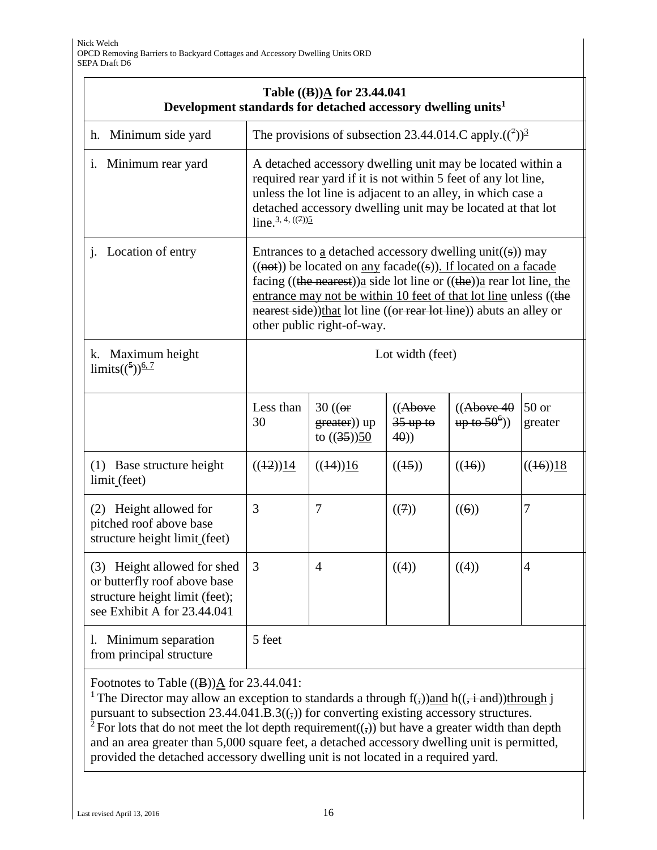| Table $((B))\underline{A}$ for 23.44.041<br>Development standards for detached accessory dwelling units <sup>1</sup>         |                                                                                                                                                                                                                                                                                                                                                                                                 |                                                      |                              |                                                               |                    |
|------------------------------------------------------------------------------------------------------------------------------|-------------------------------------------------------------------------------------------------------------------------------------------------------------------------------------------------------------------------------------------------------------------------------------------------------------------------------------------------------------------------------------------------|------------------------------------------------------|------------------------------|---------------------------------------------------------------|--------------------|
| Minimum side yard<br>h.                                                                                                      | The provisions of subsection 23.44.014.C apply. $((^{7}))^{\frac{3}{2}}$                                                                                                                                                                                                                                                                                                                        |                                                      |                              |                                                               |                    |
| i. Minimum rear yard                                                                                                         | A detached accessory dwelling unit may be located within a<br>required rear yard if it is not within 5 feet of any lot line,<br>unless the lot line is adjacent to an alley, in which case a<br>detached accessory dwelling unit may be located at that lot<br>line. <sup>3, 4, <math>((7))</math></sup>                                                                                        |                                                      |                              |                                                               |                    |
| j. Location of entry                                                                                                         | Entrances to a detached accessory dwelling unit((s)) may<br>$((\text{not}))$ be located on <u>any</u> facade((s)). If located on a facade<br>facing ((the nearest)) $a$ side lot line or ((the)) $a$ rear lot line, the<br>entrance may not be within 10 feet of that lot line unless ((the<br>nearest side))that lot line ((or rear lot line)) abuts an alley or<br>other public right-of-way. |                                                      |                              |                                                               |                    |
| k. Maximum height<br>limits( $({}^{5})$ ) <sup>6, 7</sup>                                                                    | Lot width (feet)                                                                                                                                                                                                                                                                                                                                                                                |                                                      |                              |                                                               |                    |
|                                                                                                                              | Less than<br>30                                                                                                                                                                                                                                                                                                                                                                                 | $30 \left( \right)$<br>greater)) up<br>to $((35))50$ | ((Above<br>$35$ up to<br>40) | ((Above 40<br>$\frac{\text{up to } 50^6}{\text{up to } 10^6}$ | $50$ or<br>greater |
| (1) Base structure height<br>limit (feet)                                                                                    | ((12))14                                                                                                                                                                                                                                                                                                                                                                                        | ((14))16                                             | ((15))                       | ((16))                                                        | ((16))18           |
| (2) Height allowed for<br>pitched roof above base<br>structure height limit (feet)                                           | 3                                                                                                                                                                                                                                                                                                                                                                                               | 7                                                    | ((7))                        | ((6))                                                         | 7                  |
| (3) Height allowed for shed<br>or butterfly roof above base<br>structure height limit (feet);<br>see Exhibit A for 23.44.041 | 3                                                                                                                                                                                                                                                                                                                                                                                               | $\overline{4}$                                       | ((4))                        | ((4))                                                         | $\overline{4}$     |
| Minimum separation<br>1.<br>from principal structure                                                                         | 5 feet                                                                                                                                                                                                                                                                                                                                                                                          |                                                      |                              |                                                               |                    |

Footnotes to Table  $((B))\underline{A}$  for 23.44.041:

<sup>1</sup> The Director may allow an exception to standards a through  $f(z)$ ) and  $h((\frac{1}{x} + \frac{1}{x})$ through j pursuant to subsection  $23.44.041.B.3((\tau))$  for converting existing accessory structures. <sup>2</sup> For lots that do not meet the lot depth requirement( $\overline{(\cdot)}$ ) but have a greater width than depth and an area greater than 5,000 square feet, a detached accessory dwelling unit is permitted, provided the detached accessory dwelling unit is not located in a required yard.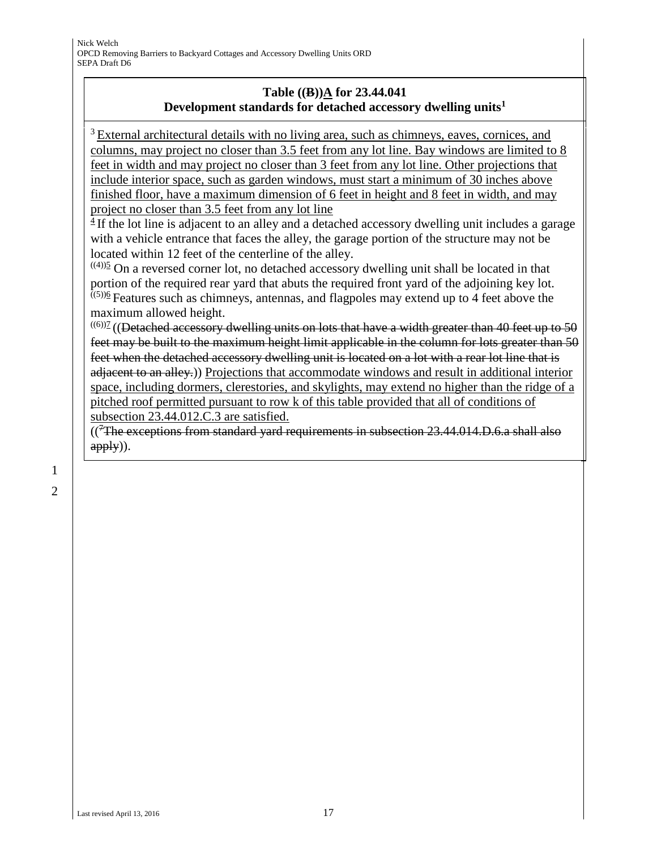### **Table ((B))A for 23.44.041 Development standards for detached accessory dwelling units<sup>1</sup>**

<sup>3</sup> External architectural details with no living area, such as chimneys, eaves, cornices, and columns, may project no closer than 3.5 feet from any lot line. Bay windows are limited to 8 feet in width and may project no closer than 3 feet from any lot line. Other projections that include interior space, such as garden windows, must start a minimum of 30 inches above finished floor, have a maximum dimension of 6 feet in height and 8 feet in width, and may project no closer than 3.5 feet from any lot line

 $4$  If the lot line is adjacent to an alley and a detached accessory dwelling unit includes a garage with a vehicle entrance that faces the alley, the garage portion of the structure may not be located within 12 feet of the centerline of the alley.

 $(40)$ <sup>5</sup> On a reversed corner lot, no detached accessory dwelling unit shall be located in that portion of the required rear yard that abuts the required front yard of the adjoining key lot.  $(5)$ <sup>6</sup> Features such as chimneys, antennas, and flagpoles may extend up to 4 feet above the maximum allowed height.

 $^{((6))}$  $($  (Detached accessory dwelling units on lots that have a width greater than 40 feet up to 50 feet may be built to the maximum height limit applicable in the column for lots greater than 50 feet when the detached accessory dwelling unit is located on a lot with a rear lot line that is adjacent to an alley.)) Projections that accommodate windows and result in additional interior space, including dormers, clerestories, and skylights, may extend no higher than the ridge of a pitched roof permitted pursuant to row k of this table provided that all of conditions of subsection 23.44.012.C.3 are satisfied.

 $($ <sup>7</sup>The exceptions from standard yard requirements in subsection 23.44.014.D.6.a shall also apply)).

1 2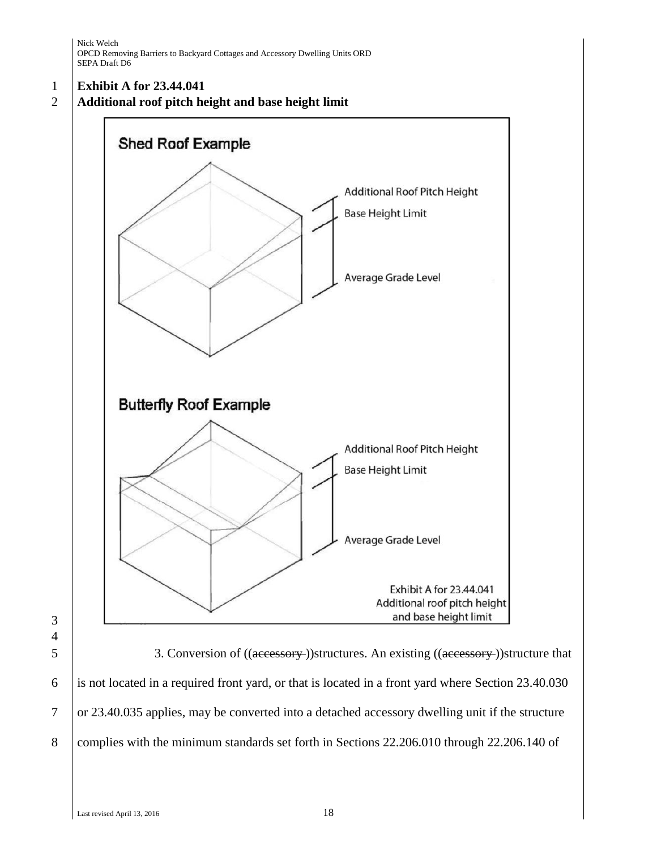#### 1 **Exhibit A for 23.44.041**

2 **Additional roof pitch height and base height limit**



5 3. Conversion of ((accessory))structures. An existing ((accessory))structure that 6 is not located in a required front yard, or that is located in a front yard where Section 23.40.030 7 or 23.40.035 applies, may be converted into a detached accessory dwelling unit if the structure 8 complies with the minimum standards set forth in Sections 22.206.010 through 22.206.140 of

3 4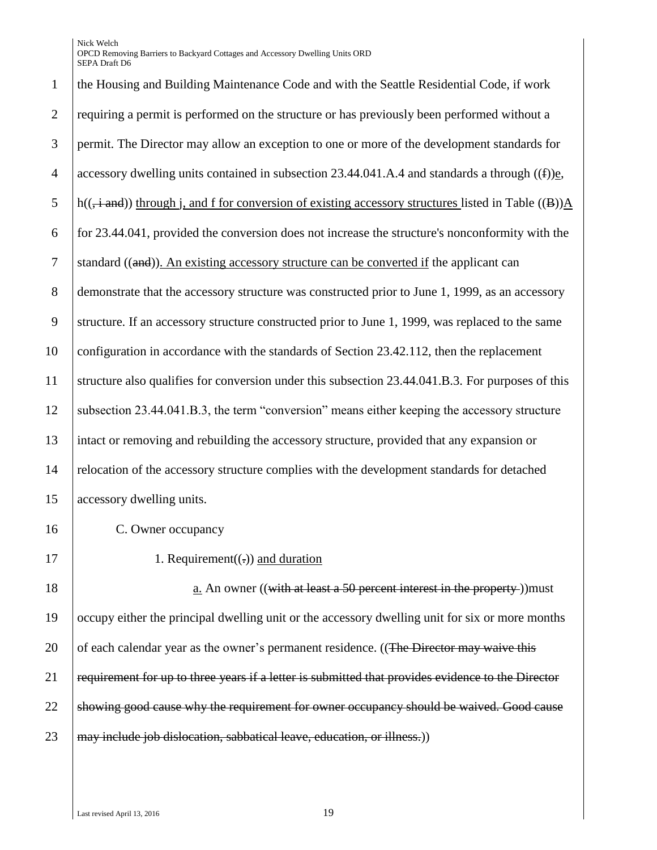| $\mathbf{1}$   | the Housing and Building Maintenance Code and with the Seattle Residential Code, if work                               |
|----------------|------------------------------------------------------------------------------------------------------------------------|
| $\overline{2}$ | requiring a permit is performed on the structure or has previously been performed without a                            |
| 3              | permit. The Director may allow an exception to one or more of the development standards for                            |
| $\overline{4}$ | accessory dwelling units contained in subsection 23.44.041.A.4 and standards a through $((f))_{\underline{e}}$ ,       |
| 5              | $h((\div \text{and}))$ through j, and f for conversion of existing accessory structures listed in Table ((B)) $\Delta$ |
| 6              | for 23.44.041, provided the conversion does not increase the structure's nonconformity with the                        |
| $\overline{7}$ | standard $((and))$ . An existing accessory structure can be converted if the applicant can                             |
| 8              | demonstrate that the accessory structure was constructed prior to June 1, 1999, as an accessory                        |
| 9              | structure. If an accessory structure constructed prior to June 1, 1999, was replaced to the same                       |
| 10             | configuration in accordance with the standards of Section 23.42.112, then the replacement                              |
| 11             | structure also qualifies for conversion under this subsection 23.44.041.B.3. For purposes of this                      |
| 12             | subsection 23.44.041.B.3, the term "conversion" means either keeping the accessory structure                           |
| 13             | intact or removing and rebuilding the accessory structure, provided that any expansion or                              |
| 14             | relocation of the accessory structure complies with the development standards for detached                             |
| 15             | accessory dwelling units.                                                                                              |
| 16             | C. Owner occupancy                                                                                                     |
| 17             | 1. Requirement( $(.)$ ) and duration                                                                                   |
| 18             | a. An owner $((with at least a 50 percent interest in the property))$ must                                             |
| 19             | occupy either the principal dwelling unit or the accessory dwelling unit for six or more months                        |
| 20             | of each calendar year as the owner's permanent residence. ((The Director may waive this                                |
| 21             | requirement for up to three years if a letter is submitted that provides evidence to the Director                      |
|                |                                                                                                                        |

22 Showing good cause why the requirement for owner occupancy should be waived. Good cause

may include job dislocation, sabbatical leave, education, or illness.)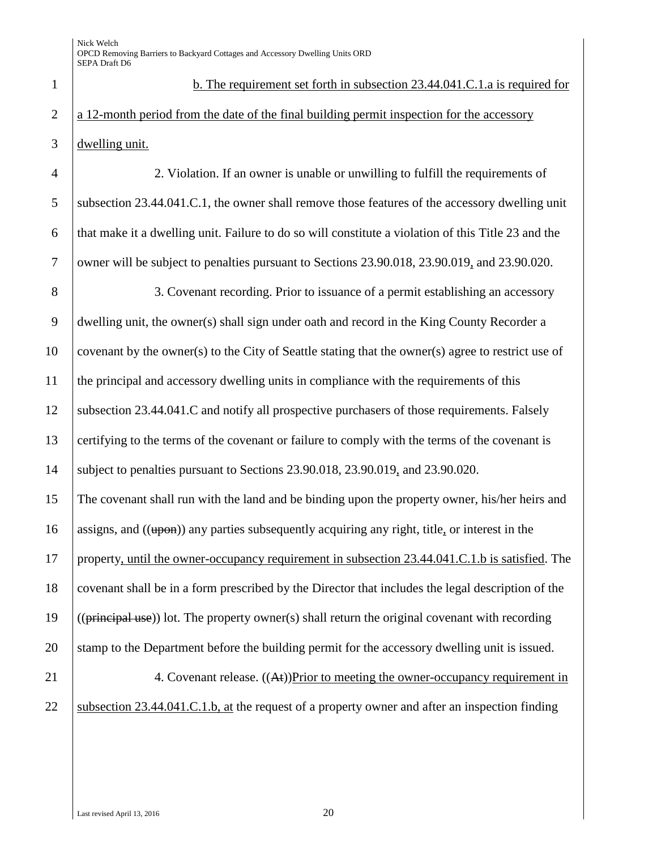1 b. The requirement set forth in subsection 23.44.041.C.1.a is required for 2 a 12-month period from the date of the final building permit inspection for the accessory 3 dwelling unit.

 2. Violation. If an owner is unable or unwilling to fulfill the requirements of subsection 23.44.041.C.1, the owner shall remove those features of the accessory dwelling unit that make it a dwelling unit. Failure to do so will constitute a violation of this Title 23 and the 7 owner will be subject to penalties pursuant to Sections 23.90.018, 23.90.019, and 23.90.020.

 3. Covenant recording. Prior to issuance of a permit establishing an accessory dwelling unit, the owner(s) shall sign under oath and record in the King County Recorder a covenant by the owner(s) to the City of Seattle stating that the owner(s) agree to restrict use of the principal and accessory dwelling units in compliance with the requirements of this subsection 23.44.041.C and notify all prospective purchasers of those requirements. Falsely 13 certifying to the terms of the covenant or failure to comply with the terms of the covenant is subject to penalties pursuant to Sections 23.90.018, 23.90.019, and 23.90.020. The covenant shall run with the land and be binding upon the property owner, his/her heirs and 16 assigns, and  $((\text{upon}))$  any parties subsequently acquiring any right, title, or interest in the

 property, until the owner-occupancy requirement in subsection 23.44.041.C.1.b is satisfied. The covenant shall be in a form prescribed by the Director that includes the legal description of the  $((\text{principal use}))$  lot. The property owner(s) shall return the original covenant with recording 20 stamp to the Department before the building permit for the accessory dwelling unit is issued.

21 4. Covenant release. ((At))Prior to meeting the owner-occupancy requirement in 22 Subsection 23.44.041.C.1.b, at the request of a property owner and after an inspection finding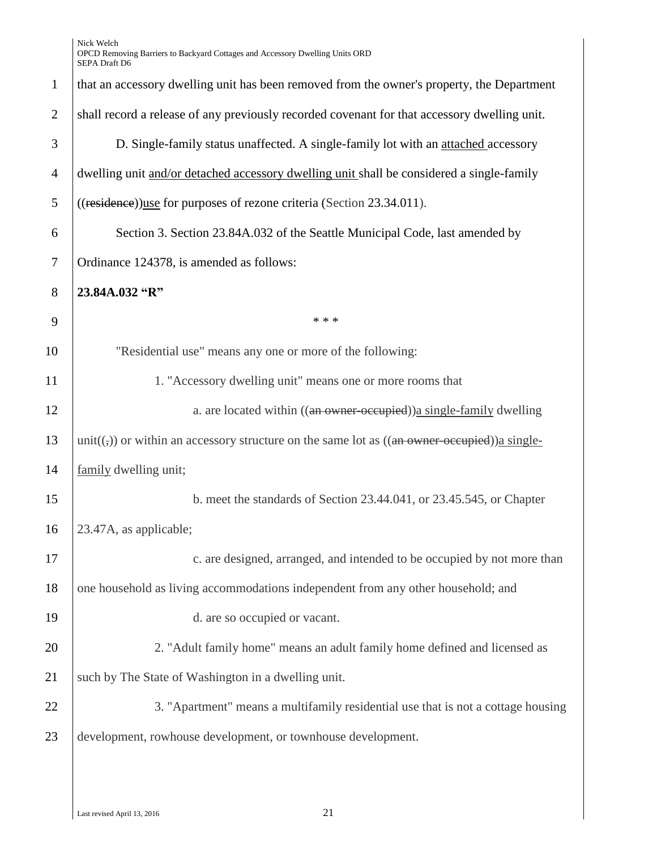| that an accessory dwelling unit has been removed from the owner's property, the Department                     |
|----------------------------------------------------------------------------------------------------------------|
| shall record a release of any previously recorded covenant for that accessory dwelling unit.                   |
| D. Single-family status unaffected. A single-family lot with an attached accessory                             |
| dwelling unit and/or detached accessory dwelling unit shall be considered a single-family                      |
| ((residence))use for purposes of rezone criteria (Section 23.34.011).                                          |
| Section 3. Section 23.84A.032 of the Seattle Municipal Code, last amended by                                   |
| Ordinance 124378, is amended as follows:                                                                       |
| 23.84A.032 "R"                                                                                                 |
| * * *                                                                                                          |
| "Residential use" means any one or more of the following:                                                      |
| 1. "Accessory dwelling unit" means one or more rooms that                                                      |
| a. are located within ((an owner-occupied)) a single-family dwelling                                           |
| unit( $(\tau)$ ) or within an accessory structure on the same lot as ( $(\theta$ an owner-occupied)) a single- |
| family dwelling unit;                                                                                          |
| b. meet the standards of Section 23.44.041, or 23.45.545, or Chapter                                           |
| 23.47A, as applicable;                                                                                         |
| c. are designed, arranged, and intended to be occupied by not more than                                        |
| one household as living accommodations independent from any other household; and                               |
| d. are so occupied or vacant.                                                                                  |
| 2. "Adult family home" means an adult family home defined and licensed as                                      |
| such by The State of Washington in a dwelling unit.                                                            |
| 3. "Apartment" means a multifamily residential use that is not a cottage housing                               |
| development, rowhouse development, or townhouse development.                                                   |
|                                                                                                                |
|                                                                                                                |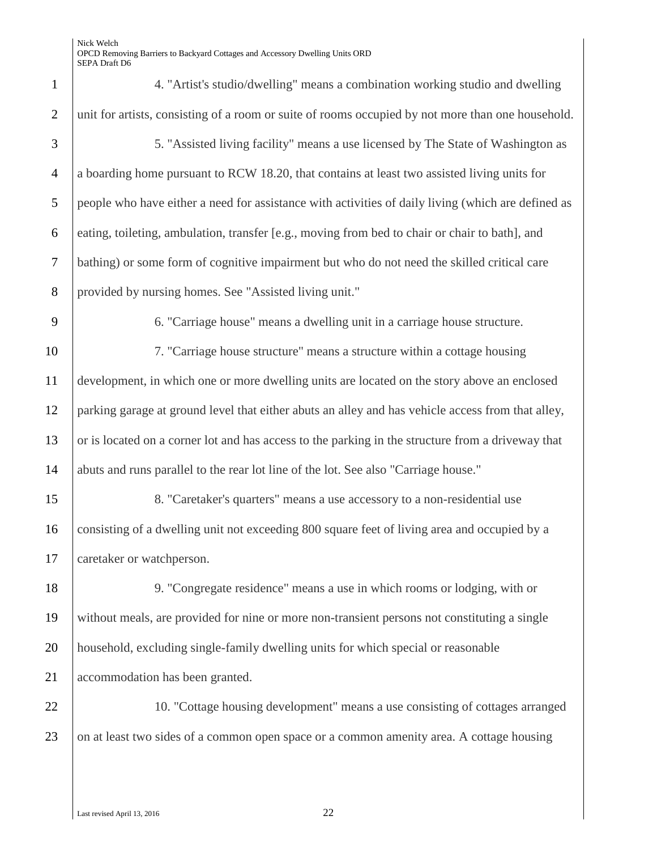| $\mathbf{1}$   | 4. "Artist's studio/dwelling" means a combination working studio and dwelling                      |
|----------------|----------------------------------------------------------------------------------------------------|
| $\overline{2}$ | unit for artists, consisting of a room or suite of rooms occupied by not more than one household.  |
| 3              | 5. "Assisted living facility" means a use licensed by The State of Washington as                   |
| $\overline{4}$ | a boarding home pursuant to RCW 18.20, that contains at least two assisted living units for        |
| 5              | people who have either a need for assistance with activities of daily living (which are defined as |
| 6              | eating, toileting, ambulation, transfer [e.g., moving from bed to chair or chair to bath], and     |
| $\tau$         | bathing) or some form of cognitive impairment but who do not need the skilled critical care        |
| 8              | provided by nursing homes. See "Assisted living unit."                                             |
| 9              | 6. "Carriage house" means a dwelling unit in a carriage house structure.                           |
| 10             | 7. "Carriage house structure" means a structure within a cottage housing                           |
| 11             | development, in which one or more dwelling units are located on the story above an enclosed        |
| 12             | parking garage at ground level that either abuts an alley and has vehicle access from that alley,  |
| 13             | or is located on a corner lot and has access to the parking in the structure from a driveway that  |
| 14             | abuts and runs parallel to the rear lot line of the lot. See also "Carriage house."                |
| 15             | 8. "Caretaker's quarters" means a use accessory to a non-residential use                           |
| 16             | consisting of a dwelling unit not exceeding 800 square feet of living area and occupied by a       |
| 17             | caretaker or watchperson.                                                                          |
| 18             | 9. "Congregate residence" means a use in which rooms or lodging, with or                           |
| 19             | without meals, are provided for nine or more non-transient persons not constituting a single       |
| 20             | household, excluding single-family dwelling units for which special or reasonable                  |
| 21             | accommodation has been granted.                                                                    |
| 22             | 10. "Cottage housing development" means a use consisting of cottages arranged                      |
| 23             | on at least two sides of a common open space or a common amenity area. A cottage housing           |
|                |                                                                                                    |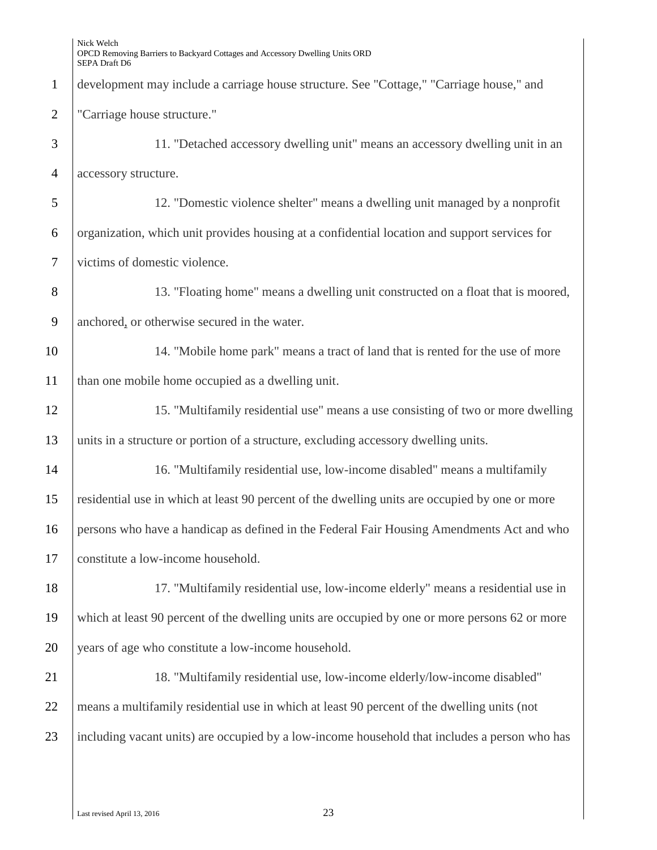development may include a carriage house structure. See "Cottage," "Carriage house," and "Carriage house structure." 11. "Detached accessory dwelling unit" means an accessory dwelling unit in an accessory structure. 12. "Domestic violence shelter" means a dwelling unit managed by a nonprofit organization, which unit provides housing at a confidential location and support services for victims of domestic violence. 13. "Floating home" means a dwelling unit constructed on a float that is moored, anchored, or otherwise secured in the water. 14. "Mobile home park" means a tract of land that is rented for the use of more 11 | than one mobile home occupied as a dwelling unit. 15. "Multifamily residential use" means a use consisting of two or more dwelling units in a structure or portion of a structure, excluding accessory dwelling units. 16. "Multifamily residential use, low-income disabled" means a multifamily residential use in which at least 90 percent of the dwelling units are occupied by one or more persons who have a handicap as defined in the Federal Fair Housing Amendments Act and who 17 constitute a low-income household. 17. "Multifamily residential use, low-income elderly" means a residential use in which at least 90 percent of the dwelling units are occupied by one or more persons 62 or more 20 years of age who constitute a low-income household. 21 18. "Multifamily residential use, low-income elderly/low-income disabled" means a multifamily residential use in which at least 90 percent of the dwelling units (not 23 including vacant units) are occupied by a low-income household that includes a person who has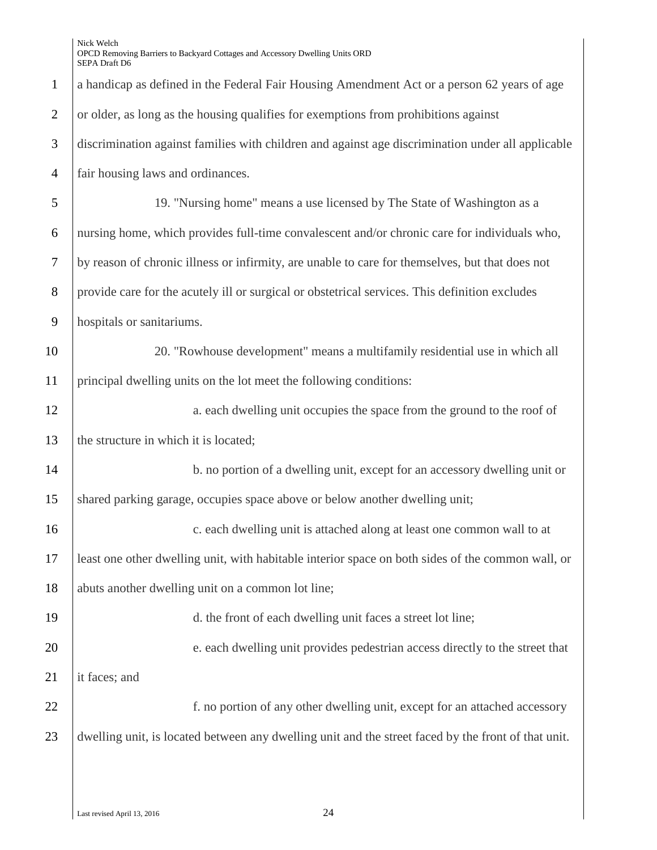| $\mathbf{1}$   | a handicap as defined in the Federal Fair Housing Amendment Act or a person 62 years of age         |
|----------------|-----------------------------------------------------------------------------------------------------|
| $\overline{2}$ | or older, as long as the housing qualifies for exemptions from prohibitions against                 |
| 3              | discrimination against families with children and against age discrimination under all applicable   |
| $\overline{4}$ | fair housing laws and ordinances.                                                                   |
| 5              | 19. "Nursing home" means a use licensed by The State of Washington as a                             |
| 6              | nursing home, which provides full-time convalescent and/or chronic care for individuals who,        |
| 7              | by reason of chronic illness or infirmity, are unable to care for themselves, but that does not     |
| 8              | provide care for the acutely ill or surgical or obstetrical services. This definition excludes      |
| 9              | hospitals or sanitariums.                                                                           |
| 10             | 20. "Rowhouse development" means a multifamily residential use in which all                         |
| 11             | principal dwelling units on the lot meet the following conditions:                                  |
| 12             | a. each dwelling unit occupies the space from the ground to the roof of                             |
| 13             | the structure in which it is located;                                                               |
| 14             | b. no portion of a dwelling unit, except for an accessory dwelling unit or                          |
| 15             | shared parking garage, occupies space above or below another dwelling unit;                         |
| 16             | c. each dwelling unit is attached along at least one common wall to at                              |
| 17             | least one other dwelling unit, with habitable interior space on both sides of the common wall, or   |
| 18             | abuts another dwelling unit on a common lot line;                                                   |
| 19             | d. the front of each dwelling unit faces a street lot line;                                         |
| 20             | e. each dwelling unit provides pedestrian access directly to the street that                        |
| 21             | it faces; and                                                                                       |
| 22             | f. no portion of any other dwelling unit, except for an attached accessory                          |
| 23             | dwelling unit, is located between any dwelling unit and the street faced by the front of that unit. |
|                |                                                                                                     |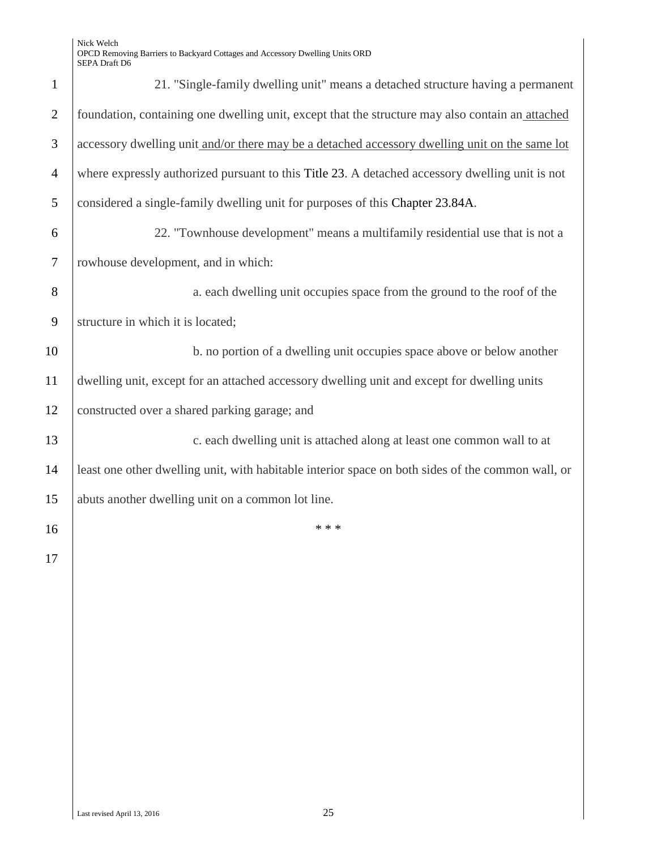| $\mathbf{1}$   | 21. "Single-family dwelling unit" means a detached structure having a permanent                   |
|----------------|---------------------------------------------------------------------------------------------------|
| $\overline{2}$ | foundation, containing one dwelling unit, except that the structure may also contain an attached  |
| 3              | accessory dwelling unit and/or there may be a detached accessory dwelling unit on the same lot    |
| $\overline{4}$ | where expressly authorized pursuant to this Title 23. A detached accessory dwelling unit is not   |
| 5              | considered a single-family dwelling unit for purposes of this Chapter 23.84A.                     |
| 6              | 22. "Townhouse development" means a multifamily residential use that is not a                     |
| $\overline{7}$ | rowhouse development, and in which:                                                               |
| 8              | a. each dwelling unit occupies space from the ground to the roof of the                           |
| 9              | structure in which it is located;                                                                 |
| 10             | b. no portion of a dwelling unit occupies space above or below another                            |
| 11             | dwelling unit, except for an attached accessory dwelling unit and except for dwelling units       |
| 12             | constructed over a shared parking garage; and                                                     |
| 13             | c. each dwelling unit is attached along at least one common wall to at                            |
| 14             | least one other dwelling unit, with habitable interior space on both sides of the common wall, or |
| 15             | abuts another dwelling unit on a common lot line.                                                 |
| 16             | * * *                                                                                             |
| 17             |                                                                                                   |
|                |                                                                                                   |
|                |                                                                                                   |
|                |                                                                                                   |
|                |                                                                                                   |
|                |                                                                                                   |
|                |                                                                                                   |
|                |                                                                                                   |